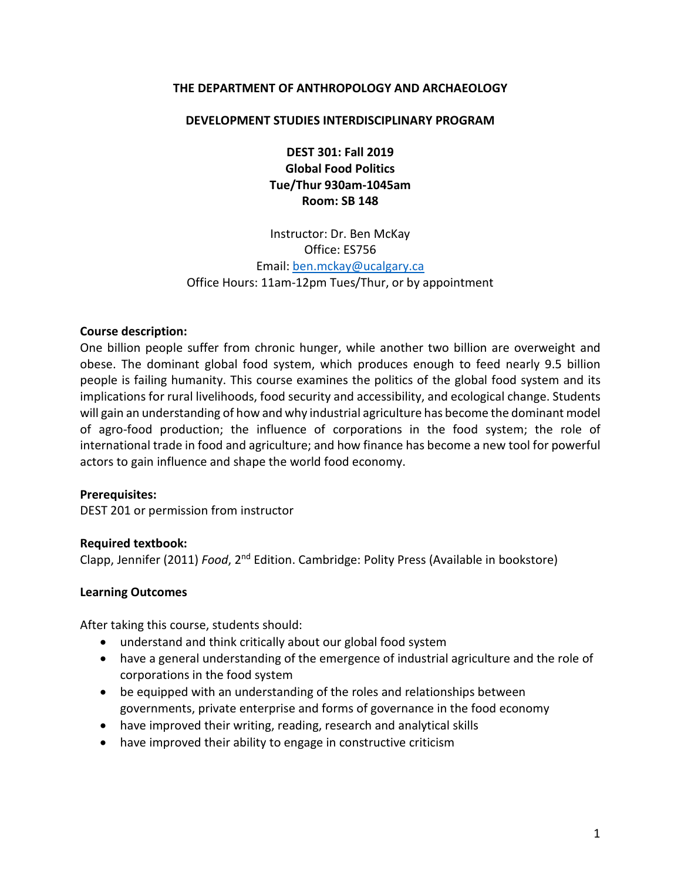### **THE DEPARTMENT OF ANTHROPOLOGY AND ARCHAEOLOGY**

### **DEVELOPMENT STUDIES INTERDISCIPLINARY PROGRAM**

**DEST 301: Fall 2019 Global Food Politics Tue/Thur 930am-1045am Room: SB 148**

Instructor: Dr. Ben McKay Office: ES756 Email: [ben.mckay@ucalgary.ca](mailto:ben.mckay@ucalgary.ca) Office Hours: 11am-12pm Tues/Thur, or by appointment

### **Course description:**

One billion people suffer from chronic hunger, while another two billion are overweight and obese. The dominant global food system, which produces enough to feed nearly 9.5 billion people is failing humanity. This course examines the politics of the global food system and its implications for rural livelihoods, food security and accessibility, and ecological change. Students will gain an understanding of how and why industrial agriculture has become the dominant model of agro-food production; the influence of corporations in the food system; the role of international trade in food and agriculture; and how finance has become a new tool for powerful actors to gain influence and shape the world food economy.

#### **Prerequisites:**

DEST 201 or permission from instructor

#### **Required textbook:**

Clapp, Jennifer (2011) *Food*, 2<sup>nd</sup> Edition. Cambridge: Polity Press (Available in bookstore)

#### **Learning Outcomes**

After taking this course, students should:

- understand and think critically about our global food system
- have a general understanding of the emergence of industrial agriculture and the role of corporations in the food system
- be equipped with an understanding of the roles and relationships between governments, private enterprise and forms of governance in the food economy
- have improved their writing, reading, research and analytical skills
- have improved their ability to engage in constructive criticism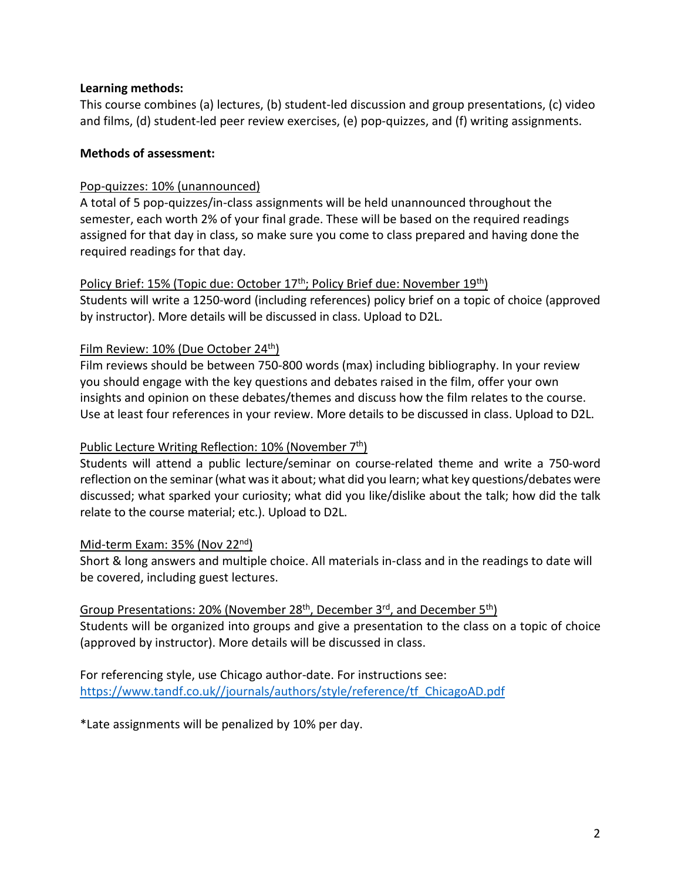## **Learning methods:**

This course combines (a) lectures, (b) student-led discussion and group presentations, (c) video and films, (d) student-led peer review exercises, (e) pop-quizzes, and (f) writing assignments.

## **Methods of assessment:**

## Pop-quizzes: 10% (unannounced)

A total of 5 pop-quizzes/in-class assignments will be held unannounced throughout the semester, each worth 2% of your final grade. These will be based on the required readings assigned for that day in class, so make sure you come to class prepared and having done the required readings for that day.

## Policy Brief: 15% (Topic due: October 17<sup>th</sup>; Policy Brief due: November 19<sup>th</sup>)

Students will write a 1250-word (including references) policy brief on a topic of choice (approved by instructor). More details will be discussed in class. Upload to D2L.

# Film Review: 10% (Due October 24<sup>th</sup>)

Film reviews should be between 750-800 words (max) including bibliography. In your review you should engage with the key questions and debates raised in the film, offer your own insights and opinion on these debates/themes and discuss how the film relates to the course. Use at least four references in your review. More details to be discussed in class. Upload to D2L.

### Public Lecture Writing Reflection:  $10\%$  (November  $7<sup>th</sup>$ )

Students will attend a public lecture/seminar on course-related theme and write a 750-word reflection on the seminar (what was it about; what did you learn; what key questions/debates were discussed; what sparked your curiosity; what did you like/dislike about the talk; how did the talk relate to the course material; etc.). Upload to D2L.

### Mid-term Exam: 35% (Nov 22nd)

Short & long answers and multiple choice. All materials in-class and in the readings to date will be covered, including guest lectures.

# Group Presentations: 20% (November 28<sup>th</sup>, December 3<sup>rd</sup>, and December 5<sup>th</sup>)

Students will be organized into groups and give a presentation to the class on a topic of choice (approved by instructor). More details will be discussed in class.

For referencing style, use Chicago author-date. For instructions see: [https://www.tandf.co.uk//journals/authors/style/reference/tf\\_ChicagoAD.pdf](https://www.tandf.co.uk/journals/authors/style/reference/tf_ChicagoAD.pdf)

\*Late assignments will be penalized by 10% per day.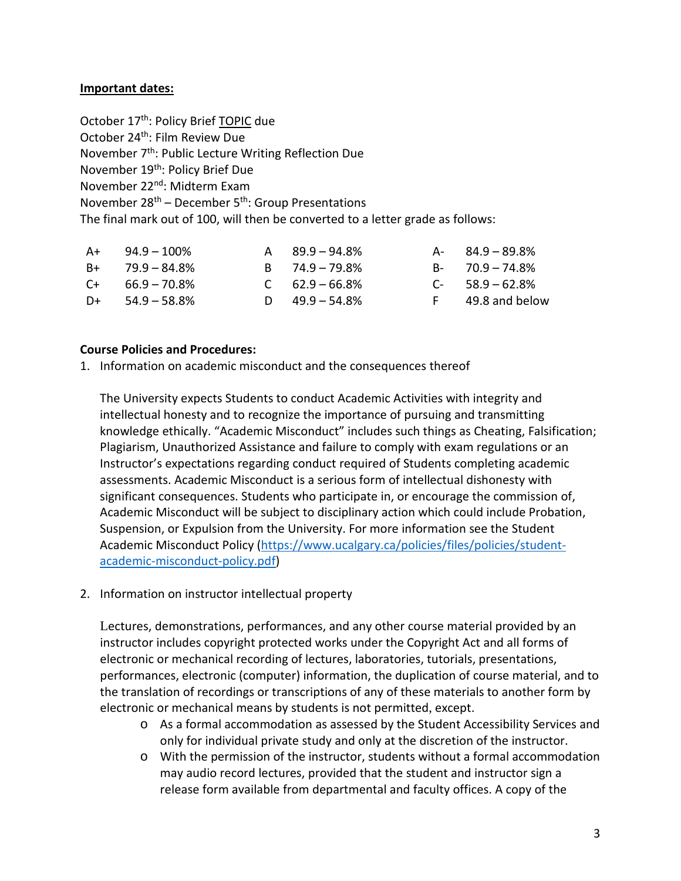## **Important dates:**

October 17<sup>th</sup>: Policy Brief TOPIC due October 24<sup>th</sup>: Film Review Due November 7<sup>th</sup>: Public Lecture Writing Reflection Due November 19<sup>th</sup>: Policy Brief Due November 22nd: Midterm Exam November  $28<sup>th</sup>$  – December 5<sup>th</sup>: Group Presentations The final mark out of 100, will then be converted to a letter grade as follows:

| $A+$ 94.9 – 100%     | $A = 89.9 - 94.8\%$ | $A - 84.9 - 89.8\%$ |
|----------------------|---------------------|---------------------|
| $B+$ 79.9 – 84.8%    | $B = 74.9 - 79.8\%$ | $B - 70.9 - 74.8\%$ |
| $C_{+}$ 66.9 – 70.8% | $C = 62.9 - 66.8\%$ | $C-58.9-62.8%$      |
| $D+$ 54.9 – 58.8%    | D $49.9 - 54.8\%$   | F 49.8 and below    |

### **Course Policies and Procedures:**

1. Information on academic misconduct and the consequences thereof

The University expects Students to conduct Academic Activities with integrity and intellectual honesty and to recognize the importance of pursuing and transmitting knowledge ethically. "Academic Misconduct" includes such things as Cheating, Falsification; Plagiarism, Unauthorized Assistance and failure to comply with exam regulations or an Instructor's expectations regarding conduct required of Students completing academic assessments. Academic Misconduct is a serious form of intellectual dishonesty with significant consequences. Students who participate in, or encourage the commission of, Academic Misconduct will be subject to disciplinary action which could include Probation, Suspension, or Expulsion from the University. For more information see the Student Academic Misconduct Policy [\(https://www.ucalgary.ca/policies/files/policies/student](https://www.ucalgary.ca/policies/files/policies/student-academic-misconduct-policy.pdf)[academic-misconduct-policy.pdf\)](https://www.ucalgary.ca/policies/files/policies/student-academic-misconduct-policy.pdf)

2. Information on instructor intellectual property

Lectures, demonstrations, performances, and any other course material provided by an instructor includes copyright protected works under the Copyright Act and all forms of electronic or mechanical recording of lectures, laboratories, tutorials, presentations, performances, electronic (computer) information, the duplication of course material, and to the translation of recordings or transcriptions of any of these materials to another form by electronic or mechanical means by students is not permitted, except.

- o As a formal accommodation as assessed by the Student Accessibility Services and only for individual private study and only at the discretion of the instructor.
- o With the permission of the instructor, students without a formal accommodation may audio record lectures, provided that the student and instructor sign a release form available from departmental and faculty offices. A copy of the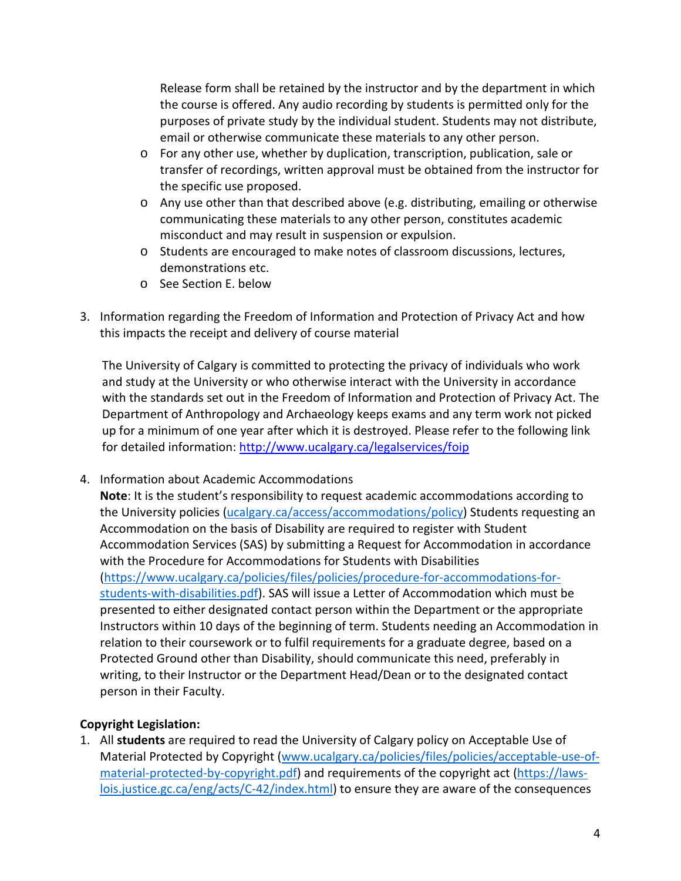Release form shall be retained by the instructor and by the department in which the course is offered. Any audio recording by students is permitted only for the purposes of private study by the individual student. Students may not distribute, email or otherwise communicate these materials to any other person.

- o For any other use, whether by duplication, transcription, publication, sale or transfer of recordings, written approval must be obtained from the instructor for the specific use proposed.
- o Any use other than that described above (e.g. distributing, emailing or otherwise communicating these materials to any other person, constitutes academic misconduct and may result in suspension or expulsion.
- o Students are encouraged to make notes of classroom discussions, lectures, demonstrations etc.
- o See Section E. below
- 3. Information regarding the Freedom of Information and Protection of Privacy Act and how this impacts the receipt and delivery of course material

The University of Calgary is committed to protecting the privacy of individuals who work and study at the University or who otherwise interact with the University in accordance with the standards set out in the Freedom of Information and Protection of Privacy Act. The Department of Anthropology and Archaeology keeps exams and any term work not picked up for a minimum of one year after which it is destroyed. Please refer to the following link for detailed information:<http://www.ucalgary.ca/legalservices/foip>

4. Information about Academic Accommodations

**Note**: It is the student's responsibility to request academic accommodations according to the University policies [\(ucalgary.ca/access/accommodations/policy\)](https://ucalgary.ca/access/accommodations/policy) Students requesting an Accommodation on the basis of Disability are required to register with Student Accommodation Services (SAS) by submitting a Request for Accommodation in accordance with the Procedure for Accommodations for Students with Disabilities [\(https://www.ucalgary.ca/policies/files/policies/procedure-for-accommodations-for](https://www.ucalgary.ca/policies/files/policies/procedure-for-accommodations-for-students-with-disabilities.pdf)[students-with-disabilities.pdf\)](https://www.ucalgary.ca/policies/files/policies/procedure-for-accommodations-for-students-with-disabilities.pdf). SAS will issue a Letter of Accommodation which must be presented to either designated contact person within the Department or the appropriate Instructors within 10 days of the beginning of term. Students needing an Accommodation in relation to their coursework or to fulfil requirements for a graduate degree, based on a Protected Ground other than Disability, should communicate this need, preferably in writing, to their Instructor or the Department Head/Dean or to the designated contact person in their Faculty.

# **Copyright Legislation:**

1. All **students** are required to read the University of Calgary policy on Acceptable Use of Material Protected by Copyright [\(www.ucalgary.ca/policies/files/policies/acceptable-use-of](http://www.ucalgary.ca/policies/files/policies/acceptable-use-of-material-protected-by-copyright.pdf)[material-protected-by-copyright.pdf\)](http://www.ucalgary.ca/policies/files/policies/acceptable-use-of-material-protected-by-copyright.pdf) and requirements of the copyright act [\(https://laws](https://laws-lois.justice.gc.ca/eng/acts/C-42/index.html)[lois.justice.gc.ca/eng/acts/C-42/index.html\)](https://laws-lois.justice.gc.ca/eng/acts/C-42/index.html) to ensure they are aware of the consequences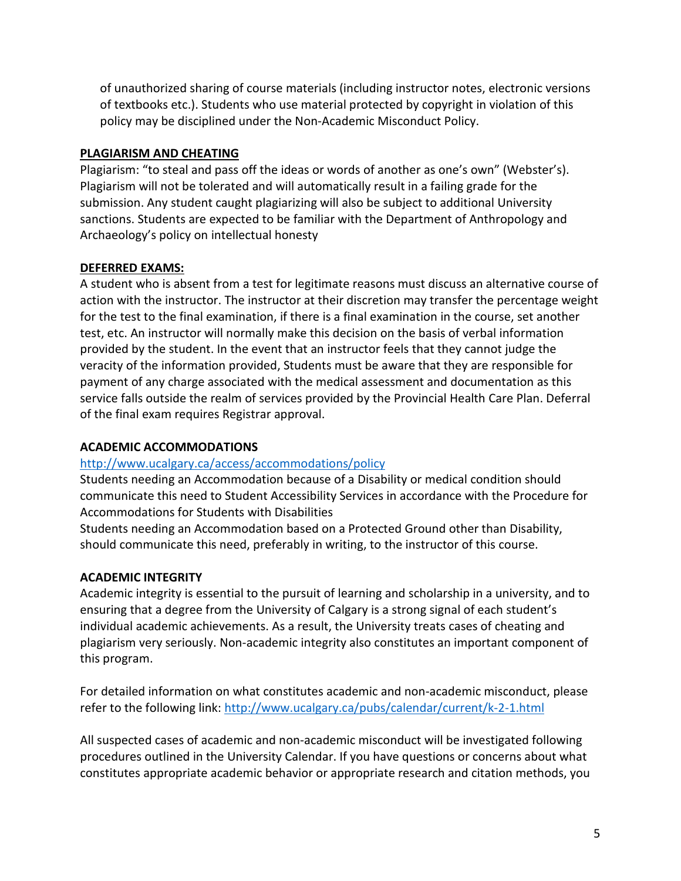of unauthorized sharing of course materials (including instructor notes, electronic versions of textbooks etc.). Students who use material protected by copyright in violation of this policy may be disciplined under the Non-Academic Misconduct Policy.

## **PLAGIARISM AND CHEATING**

Plagiarism: "to steal and pass off the ideas or words of another as one's own" (Webster's). Plagiarism will not be tolerated and will automatically result in a failing grade for the submission. Any student caught plagiarizing will also be subject to additional University sanctions. Students are expected to be familiar with the Department of Anthropology and Archaeology's policy on intellectual honesty

## **DEFERRED EXAMS:**

A student who is absent from a test for legitimate reasons must discuss an alternative course of action with the instructor. The instructor at their discretion may transfer the percentage weight for the test to the final examination, if there is a final examination in the course, set another test, etc. An instructor will normally make this decision on the basis of verbal information provided by the student. In the event that an instructor feels that they cannot judge the veracity of the information provided, Students must be aware that they are responsible for payment of any charge associated with the medical assessment and documentation as this service falls outside the realm of services provided by the Provincial Health Care Plan. Deferral of the final exam requires Registrar approval.

# **ACADEMIC ACCOMMODATIONS**

# <http://www.ucalgary.ca/access/accommodations/policy>

Students needing an Accommodation because of a Disability or medical condition should communicate this need to Student Accessibility Services in accordance with the Procedure for Accommodations for Students with Disabilities

Students needing an Accommodation based on a Protected Ground other than Disability, should communicate this need, preferably in writing, to the instructor of this course.

# **ACADEMIC INTEGRITY**

Academic integrity is essential to the pursuit of learning and scholarship in a university, and to ensuring that a degree from the University of Calgary is a strong signal of each student's individual academic achievements. As a result, the University treats cases of cheating and plagiarism very seriously. Non-academic integrity also constitutes an important component of this program.

For detailed information on what constitutes academic and non-academic misconduct, please refer to the following link:<http://www.ucalgary.ca/pubs/calendar/current/k-2-1.html>

All suspected cases of academic and non-academic misconduct will be investigated following procedures outlined in the University Calendar. If you have questions or concerns about what constitutes appropriate academic behavior or appropriate research and citation methods, you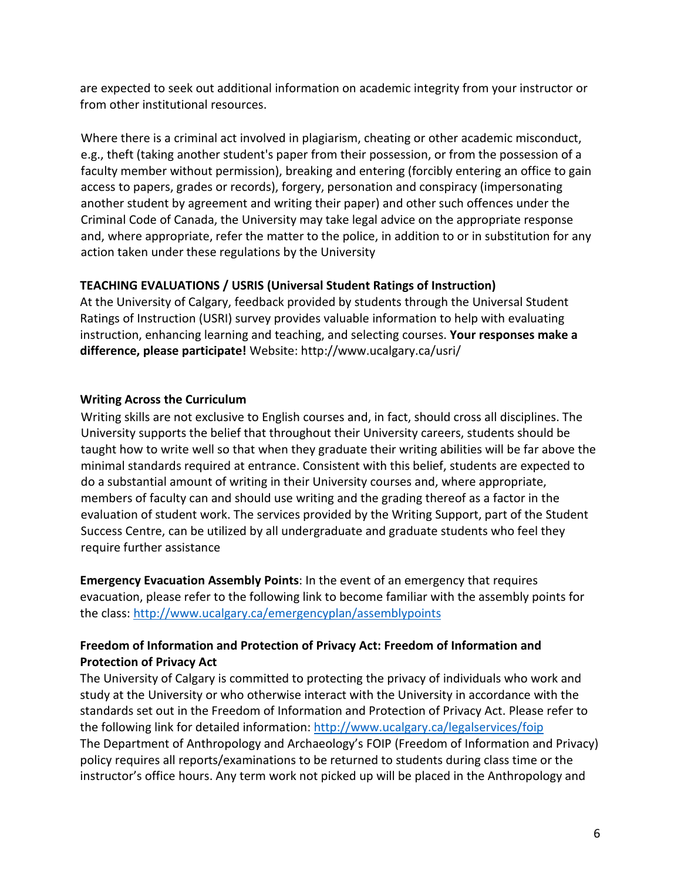are expected to seek out additional information on academic integrity from your instructor or from other institutional resources.

Where there is a criminal act involved in plagiarism, cheating or other academic misconduct, e.g., theft (taking another student's paper from their possession, or from the possession of a faculty member without permission), breaking and entering (forcibly entering an office to gain access to papers, grades or records), forgery, personation and conspiracy (impersonating another student by agreement and writing their paper) and other such offences under the Criminal Code of Canada, the University may take legal advice on the appropriate response and, where appropriate, refer the matter to the police, in addition to or in substitution for any action taken under these regulations by the University

# **TEACHING EVALUATIONS / USRIS (Universal Student Ratings of Instruction)**

At the University of Calgary, feedback provided by students through the Universal Student Ratings of Instruction (USRI) survey provides valuable information to help with evaluating instruction, enhancing learning and teaching, and selecting courses. **Your responses make a difference, please participate!** Website: http://www.ucalgary.ca/usri/

# **Writing Across the Curriculum**

Writing skills are not exclusive to English courses and, in fact, should cross all disciplines. The University supports the belief that throughout their University careers, students should be taught how to write well so that when they graduate their writing abilities will be far above the minimal standards required at entrance. Consistent with this belief, students are expected to do a substantial amount of writing in their University courses and, where appropriate, members of faculty can and should use writing and the grading thereof as a factor in the evaluation of student work. The services provided by the Writing Support, part of the Student Success Centre, can be utilized by all undergraduate and graduate students who feel they require further assistance

**Emergency Evacuation Assembly Points**: In the event of an emergency that requires evacuation, please refer to the following link to become familiar with the assembly points for the class:<http://www.ucalgary.ca/emergencyplan/assemblypoints>

# **Freedom of Information and Protection of Privacy Act: Freedom of Information and Protection of Privacy Act**

The University of Calgary is committed to protecting the privacy of individuals who work and study at the University or who otherwise interact with the University in accordance with the standards set out in the Freedom of Information and Protection of Privacy Act. Please refer to the following link for detailed information:<http://www.ucalgary.ca/legalservices/foip> The Department of Anthropology and Archaeology's FOIP (Freedom of Information and Privacy) policy requires all reports/examinations to be returned to students during class time or the instructor's office hours. Any term work not picked up will be placed in the Anthropology and